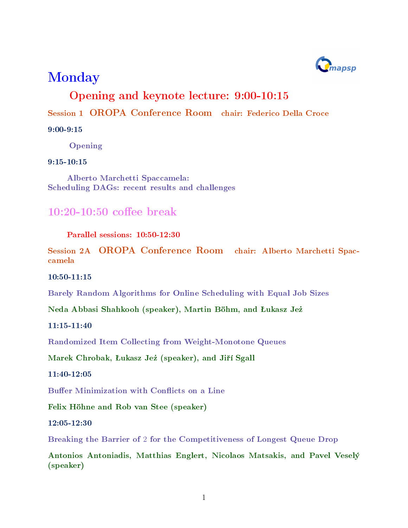

# Monday

### Opening and keynote lecture: 9:00-10:15

Session 1 OROPA Conference Room chair: Federico Della Croce

9:00-9:15

Opening

9:15-10:15

Alberto Marchetti Spaccamela: Scheduling DAGs: recent results and challenges

### $10:20-10:50$  coffee break

Parallel sessions: 10:50-12:30

Session 2A OROPA Conference Room chair: Alberto Marchetti Spaccamela

10:50-11:15

Barely Random Algorithms for Online Scheduling with Equal Job Sizes

Neda Abbasi Shahkooh (speaker), Martin Böhm, and Łukasz Jeż

11:15-11:40

Randomized Item Collecting from Weight-Monotone Queues

Marek Chrobak, Łukasz Jeż (speaker), and Jiří Sgall

11:40-12:05

Buffer Minimization with Conflicts on a Line

Felix Höhne and Rob van Stee (speaker)

12:05-12:30

Breaking the Barrier of 2 for the Competitiveness of Longest Queue Drop

Antonios Antoniadis, Matthias Englert, Nicolaos Matsakis, and Pavel Veselý (speaker)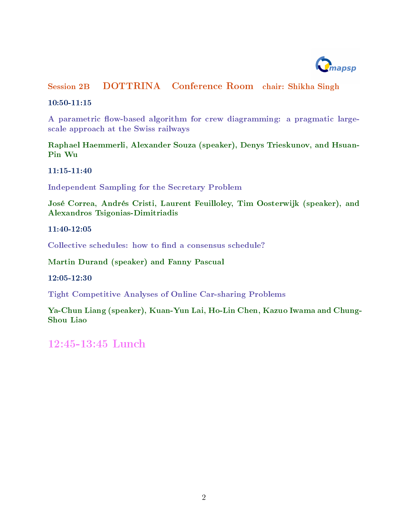

Session 2B DOTTRINA Conference Room chair: Shikha Singh

10:50-11:15

A parametric flow-based algorithm for crew diagramming: a pragmatic largescale approach at the Swiss railways

Raphael Haemmerli, Alexander Souza (speaker), Denys Trieskunov, and Hsuan-Pin Wu

11:15-11:40

Independent Sampling for the Secretary Problem

José Correa, Andrés Cristi, Laurent Feuilloley, Tim Oosterwijk (speaker), and Alexandros Tsigonias-Dimitriadis

11:40-12:05

Collective schedules: how to find a consensus schedule?

Martin Durand (speaker) and Fanny Pascual

12:05-12:30

Tight Competitive Analyses of Online Car-sharing Problems

Ya-Chun Liang (speaker), Kuan-Yun Lai, Ho-Lin Chen, Kazuo Iwama and Chung-Shou Liao

12:45-13:45 Lunch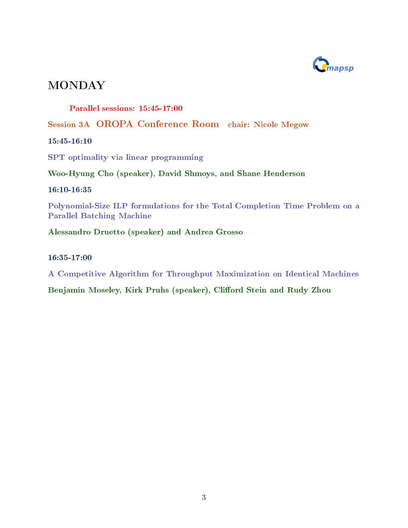

Parallel sessions: 15:45-17:00

Session 3A OROPA Conference Room chair: Nicole Megow

15:45-16:10

SPT optimality via linear programming

Woo-Hyung Cho (speaker), David Shmoys, and Shane Henderson

16:10-16:35

Polynomial-Size ILP formulations for the Total Completion Time Problem on a Parallel Batching Machine

Alessandro Druetto (speaker) and Andrea Grosso

16:35-17:00

A Competitive Algorithm for Throughput Maximization on Identical Machines

Benjamin Moseley, Kirk Pruhs (speaker), Clifford Stein and Rudy Zhou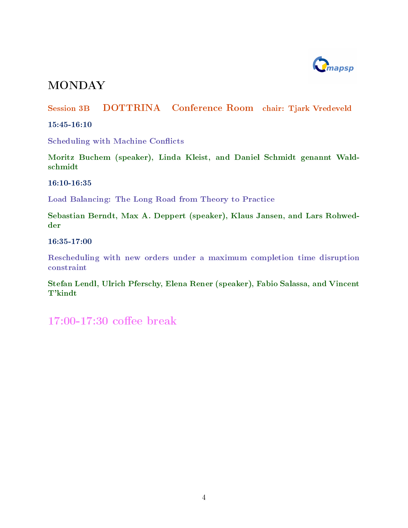

Session 3B DOTTRINA Conference Room chair: Tjark Vredeveld

15:45-16:10

Scheduling with Machine Conflicts

Moritz Buchem (speaker), Linda Kleist, and Daniel Schmidt genannt Waldschmidt

16:10-16:35

Load Balancing: The Long Road from Theory to Practice

Sebastian Berndt, Max A. Deppert (speaker), Klaus Jansen, and Lars Rohwedder

16:35-17:00

Rescheduling with new orders under a maximum completion time disruption constraint

Stefan Lendl, Ulrich Pferschy, Elena Rener (speaker), Fabio Salassa, and Vincent T'kindt

 $17:00-17:30$  coffee break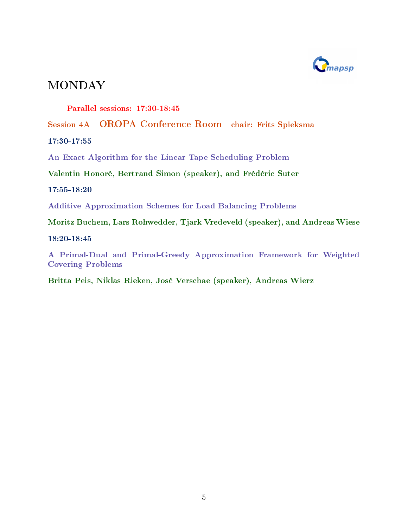

Parallel sessions: 17:30-18:45

Session 4A OROPA Conference Room chair: Frits Spieksma

17:30-17:55

An Exact Algorithm for the Linear Tape Scheduling Problem

Valentin Honoré, Bertrand Simon (speaker), and Frédéric Suter

17:55-18:20

Additive Approximation Schemes for Load Balancing Problems

Moritz Buchem, Lars Rohwedder, Tjark Vredeveld (speaker), and Andreas Wiese

18:20-18:45

A Primal-Dual and Primal-Greedy Approximation Framework for Weighted Covering Problems

Britta Peis, Niklas Rieken, José Verschae (speaker), Andreas Wierz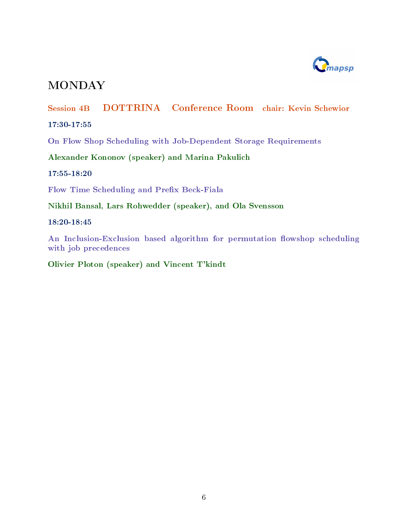

Session 4B DOTTRINA Conference Room chair: Kevin Schewior

17:30-17:55

On Flow Shop Scheduling with Job-Dependent Storage Requirements

Alexander Kononov (speaker) and Marina Pakulich

17:55-18:20

Flow Time Scheduling and Prefix Beck-Fiala

Nikhil Bansal, Lars Rohwedder (speaker), and Ola Svensson

18:20-18:45

An Inclusion-Exclusion based algorithm for permutation flowshop scheduling with job precedences

Olivier Ploton (speaker) and Vincent T'kindt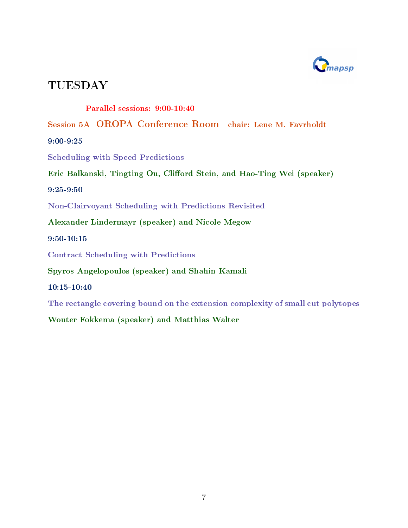

Parallel sessions: 9:00-10:40

Session 5A OROPA Conference Room chair: Lene M. Favrholdt

9:00-9:25

Scheduling with Speed Predictions

Eric Balkanski, Tingting Ou, Clifford Stein, and Hao-Ting Wei (speaker)

9:25-9:50

Non-Clairvoyant Scheduling with Predictions Revisited

Alexander Lindermayr (speaker) and Nicole Megow

9:50-10:15

Contract Scheduling with Predictions

Spyros Angelopoulos (speaker) and Shahin Kamali

10:15-10:40

The rectangle covering bound on the extension complexity of small cut polytopes

Wouter Fokkema (speaker) and Matthias Walter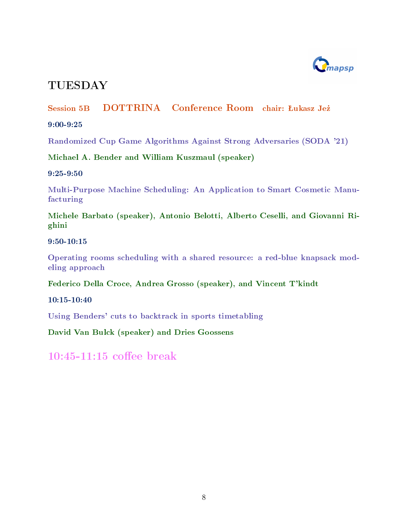

### Session 5B DOTTRINA Conference Room chair: Łukasz Jeż

9:00-9:25

Randomized Cup Game Algorithms Against Strong Adversaries (SODA '21)

Michael A. Bender and William Kuszmaul (speaker)

9:25-9:50

Multi-Purpose Machine Scheduling: An Application to Smart Cosmetic Manufacturing

Michele Barbato (speaker), Antonio Belotti, Alberto Ceselli, and Giovanni Righini

9:50-10:15

Operating rooms scheduling with a shared resource: a red-blue knapsack modeling approach

Federico Della Croce, Andrea Grosso (speaker), and Vincent T'kindt

10:15-10:40

Using Benders' cuts to backtrack in sports timetabling

David Van Bulck (speaker) and Dries Goossens

 $10:45-11:15$  coffee break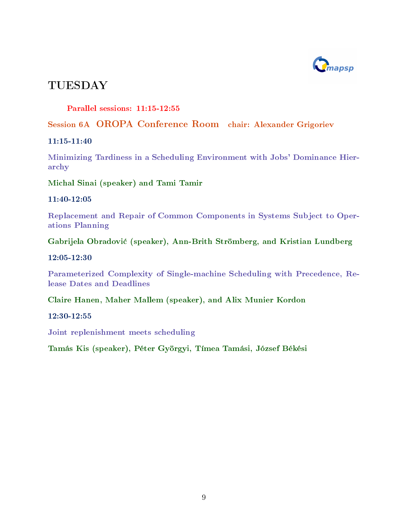

Parallel sessions: 11:15-12:55

#### Session 6A OROPA Conference Room chair: Alexander Grigoriev

11:15-11:40

Minimizing Tardiness in a Scheduling Environment with Jobs' Dominance Hierarchy

Michal Sinai (speaker) and Tami Tamir

11:40-12:05

Replacement and Repair of Common Components in Systems Subject to Operations Planning

Gabrijela Obradovi¢ (speaker), Ann-Brith Strömberg, and Kristian Lundberg

12:05-12:30

Parameterized Complexity of Single-machine Scheduling with Precedence, Release Dates and Deadlines

Claire Hanen, Maher Mallem (speaker), and Alix Munier Kordon

12:30-12:55

Joint replenishment meets scheduling

Tamás Kis (speaker), Péter Györgyi, Tímea Tamási, József Békési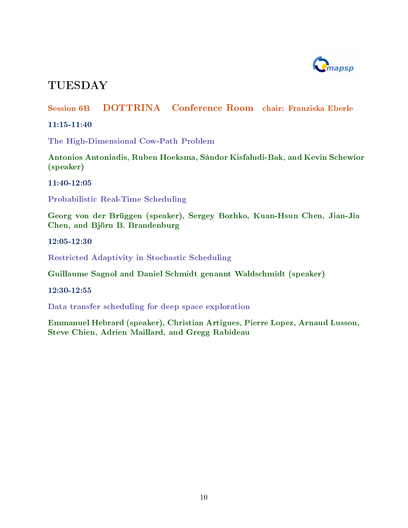

### Session 6B DOTTRINA Conference Room chair: Franziska Eberle

11:15-11:40

The High-Dimensional Cow-Path Problem

Antonios Antoniadis, Ruben Hoeksma, Sándor Kisfaludi-Bak, and Kevin Schewior (speaker)

11:40-12:05

Probabilistic Real-Time Scheduling

Georg von der Brüggen (speaker), Sergey Bozhko, Kuan-Hsun Chen, Jian-Jia Chen, and Björn B. Brandenburg

12:05-12:30

Restricted Adaptivity in Stochastic Scheduling

Guillaume Sagnol and Daniel Schmidt genannt Waldschmidt (speaker)

12:30-12:55

Data transfer scheduling for deep space exploration

Emmanuel Hebrard (speaker), Christian Artigues, Pierre Lopez, Arnaud Lusson, Steve Chien, Adrien Maillard, and Gregg Rabideau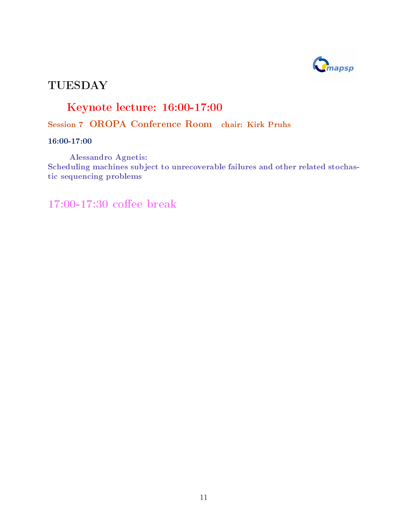

## Keynote lecture: 16:00-17:00

### Session 7 OROPA Conference Room chair: Kirk Pruhs

16:00-17:00

Alessandro Agnetis: Scheduling machines subject to unrecoverable failures and other related stochastic sequencing problems

 $17:00-17:30$  coffee break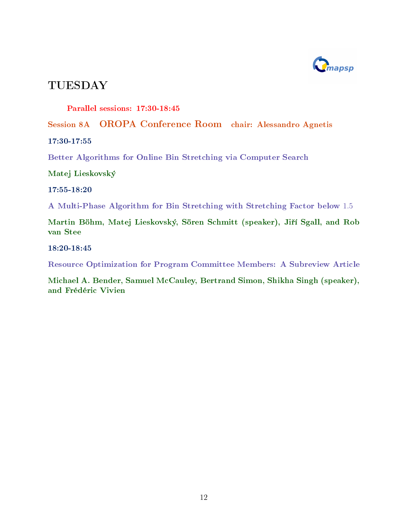

Parallel sessions: 17:30-18:45

Session 8A OROPA Conference Room chair: Alessandro Agnetis

17:30-17:55

Better Algorithms for Online Bin Stretching via Computer Search

Matej Lieskovský

17:55-18:20

A Multi-Phase Algorithm for Bin Stretching with Stretching Factor below 1.5

Martin Böhm, Matej Lieskovský, Sören Schmitt (speaker), Jiří Sgall, and Rob van Stee

18:20-18:45

Resource Optimization for Program Committee Members: A Subreview Article

Michael A. Bender, Samuel McCauley, Bertrand Simon, Shikha Singh (speaker), and Frédéric Vivien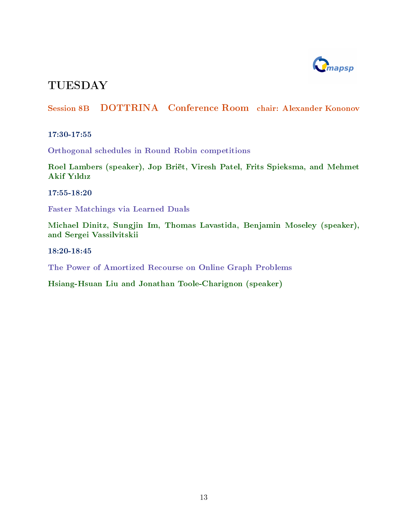

### Session 8B DOTTRINA Conference Room chair: Alexander Kononov

17:30-17:55

Orthogonal schedules in Round Robin competitions

Roel Lambers (speaker), Jop Briët, Viresh Patel, Frits Spieksma, and Mehmet Akif Yıldız

17:55-18:20

Faster Matchings via Learned Duals

Michael Dinitz, Sungjin Im, Thomas Lavastida, Benjamin Moseley (speaker), and Sergei Vassilvitskii

18:20-18:45

The Power of Amortized Recourse on Online Graph Problems

Hsiang-Hsuan Liu and Jonathan Toole-Charignon (speaker)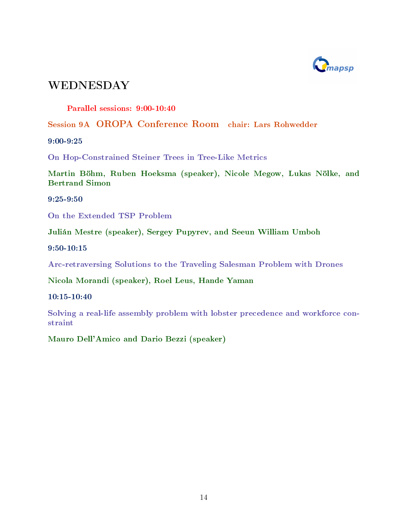

Parallel sessions: 9:00-10:40

Session 9A OROPA Conference Room chair: Lars Rohwedder

9:00-9:25

On Hop-Constrained Steiner Trees in Tree-Like Metrics

Martin Böhm, Ruben Hoeksma (speaker), Nicole Megow, Lukas Nölke, and Bertrand Simon

9:25-9:50

On the Extended TSP Problem

Julián Mestre (speaker), Sergey Pupyrev, and Seeun William Umboh

9:50-10:15

Arc-retraversing Solutions to the Traveling Salesman Problem with Drones

Nicola Morandi (speaker), Roel Leus, Hande Yaman

10:15-10:40

Solving a real-life assembly problem with lobster precedence and workforce constraint

Mauro Dell'Amico and Dario Bezzi (speaker)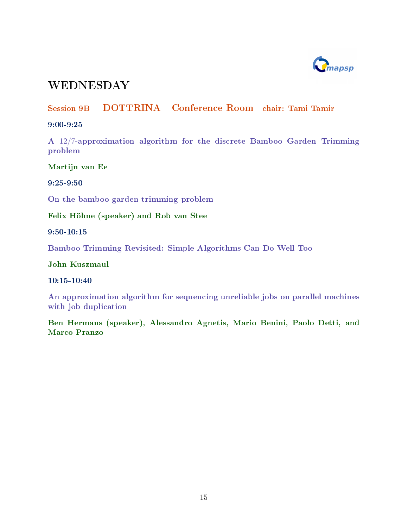

### Session 9B DOTTRINA Conference Room chair: Tami Tamir

#### 9:00-9:25

A 12/7-approximation algorithm for the discrete Bamboo Garden Trimming problem

Martijn van Ee

9:25-9:50

On the bamboo garden trimming problem

Felix Höhne (speaker) and Rob van Stee

9:50-10:15

Bamboo Trimming Revisited: Simple Algorithms Can Do Well Too

John Kuszmaul

10:15-10:40

An approximation algorithm for sequencing unreliable jobs on parallel machines with job duplication

Ben Hermans (speaker), Alessandro Agnetis, Mario Benini, Paolo Detti, and Marco Pranzo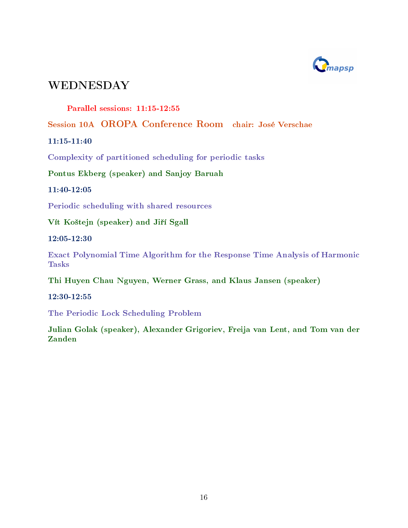

Parallel sessions: 11:15-12:55

Session 10A OROPA Conference Room chair: José Verschae

11:15-11:40

Complexity of partitioned scheduling for periodic tasks

Pontus Ekberg (speaker) and Sanjoy Baruah

11:40-12:05

Periodic scheduling with shared resources

Vít Koštejn (speaker) and Jiří Sgall

12:05-12:30

Exact Polynomial Time Algorithm for the Response Time Analysis of Harmonic Tasks

Thi Huyen Chau Nguyen, Werner Grass, and Klaus Jansen (speaker)

12:30-12:55

The Periodic Lock Scheduling Problem

Julian Golak (speaker), Alexander Grigoriev, Freija van Lent, and Tom van der Zanden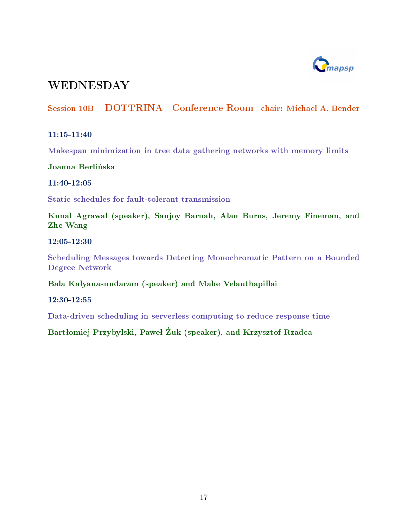

### Session 10B DOTTRINA Conference Room chair: Michael A. Bender

#### 11:15-11:40

Makespan minimization in tree data gathering networks with memory limits

Joanna Berlińska

11:40-12:05

Static schedules for fault-tolerant transmission

Kunal Agrawal (speaker), Sanjoy Baruah, Alan Burns, Jeremy Fineman, and Zhe Wang

12:05-12:30

Scheduling Messages towards Detecting Monochromatic Pattern on a Bounded Degree Network

Bala Kalyanasundaram (speaker) and Mahe Velauthapillai

12:30-12:55

Data-driven scheduling in serverless computing to reduce response time

Bartłomiej Przybylski, Paweł Żuk (speaker), and Krzysztof Rzadca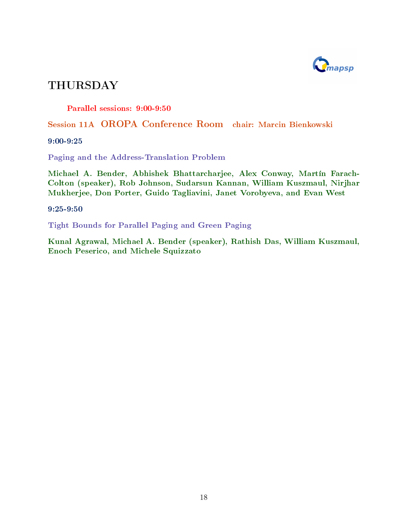

Parallel sessions: 9:00-9:50

Session 11A OROPA Conference Room chair: Marcin Bienkowski

9:00-9:25

Paging and the Address-Translation Problem

Michael A. Bender, Abhishek Bhattarcharjee, Alex Conway, Martín Farach-Colton (speaker), Rob Johnson, Sudarsun Kannan, William Kuszmaul, Nirjhar Mukherjee, Don Porter, Guido Tagliavini, Janet Vorobyeva, and Evan West

9:25-9:50

Tight Bounds for Parallel Paging and Green Paging

Kunal Agrawal, Michael A. Bender (speaker), Rathish Das, William Kuszmaul, Enoch Peserico, and Michele Squizzato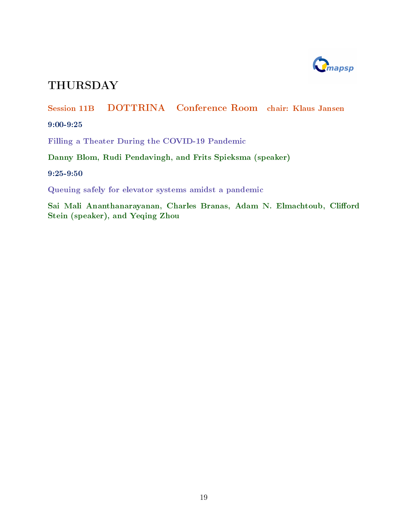

Session 11B DOTTRINA Conference Room chair: Klaus Jansen 9:00-9:25 Filling a Theater During the COVID-19 Pandemic

Danny Blom, Rudi Pendavingh, and Frits Spieksma (speaker)

9:25-9:50

Queuing safely for elevator systems amidst a pandemic

Sai Mali Ananthanarayanan, Charles Branas, Adam N. Elmachtoub, Clifford Stein (speaker), and Yeqing Zhou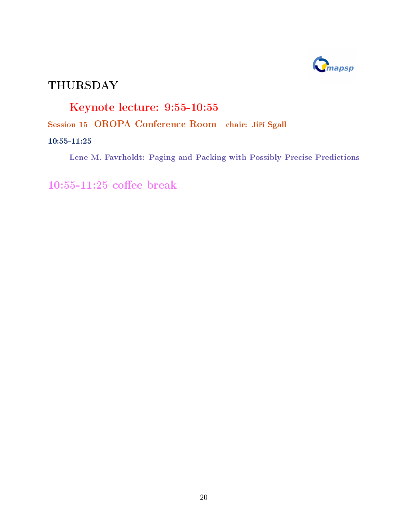

# Keynote lecture: 9:55-10:55

Session 15 OROPA Conference Room chair: Jiří Sgall

#### 10:55-11:25

Lene M. Favrholdt: Paging and Packing with Possibly Precise Predictions

 $10:55-11:25$  coffee break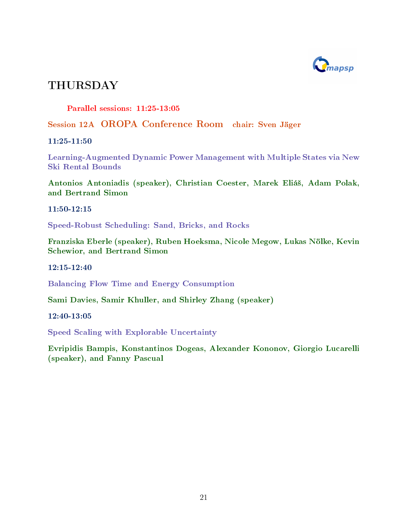

Parallel sessions: 11:25-13:05

Session 12A OROPA Conference Room chair: Sven Jäger

11:25-11:50

Learning-Augmented Dynamic Power Management with Multiple States via New Ski Rental Bounds

Antonios Antoniadis (speaker), Christian Coester, Marek Eliá², Adam Polak, and Bertrand Simon

11:50-12:15

Speed-Robust Scheduling: Sand, Bricks, and Rocks

Franziska Eberle (speaker), Ruben Hoeksma, Nicole Megow, Lukas Nölke, Kevin Schewior, and Bertrand Simon

12:15-12:40

Balancing Flow Time and Energy Consumption

Sami Davies, Samir Khuller, and Shirley Zhang (speaker)

12:40-13:05

Speed Scaling with Explorable Uncertainty

Evripidis Bampis, Konstantinos Dogeas, Alexander Kononov, Giorgio Lucarelli (speaker), and Fanny Pascual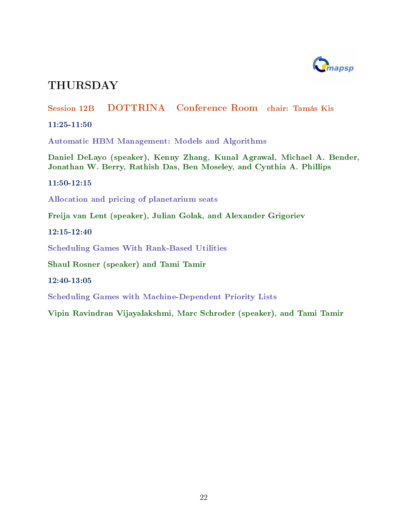

### Session 12B DOTTRINA Conference Room chair: Tamás Kis

11:25-11:50

Automatic HBM Management: Models and Algorithms

Daniel DeLayo (speaker), Kenny Zhang, Kunal Agrawal, Michael A. Bender, Jonathan W. Berry, Rathish Das, Ben Moseley, and Cynthia A. Phillips

11:50-12:15

Allocation and pricing of planetarium seats

Freija van Lent (speaker), Julian Golak, and Alexander Grigoriev

12:15-12:40

Scheduling Games With Rank-Based Utilities

Shaul Rosner (speaker) and Tami Tamir

12:40-13:05

Scheduling Games with Machine-Dependent Priority Lists

Vipin Ravindran Vijayalakshmi, Marc Schroder (speaker), and Tami Tamir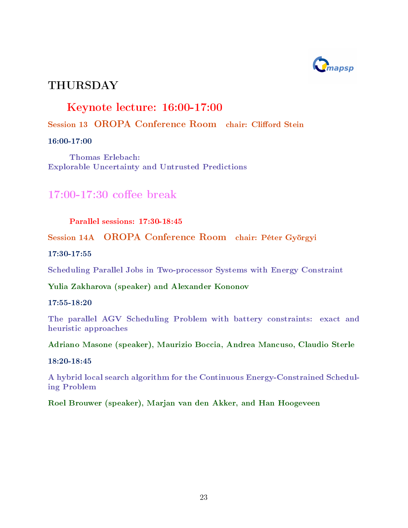

### Keynote lecture: 16:00-17:00

### Session 13 OROPA Conference Room chair: Clifford Stein

#### 16:00-17:00

Thomas Erlebach: Explorable Uncertainty and Untrusted Predictions

### $17:00-17:30$  coffee break

#### Parallel sessions: 17:30-18:45

### Session 14A OROPA Conference Room chair: Péter Györgyi

#### 17:30-17:55

Scheduling Parallel Jobs in Two-processor Systems with Energy Constraint

### Yulia Zakharova (speaker) and Alexander Kononov

#### 17:55-18:20

The parallel AGV Scheduling Problem with battery constraints: exact and heuristic approaches

#### Adriano Masone (speaker), Maurizio Boccia, Andrea Mancuso, Claudio Sterle

#### 18:20-18:45

A hybrid local search algorithm for the Continuous Energy-Constrained Scheduling Problem

### Roel Brouwer (speaker), Marjan van den Akker, and Han Hoogeveen